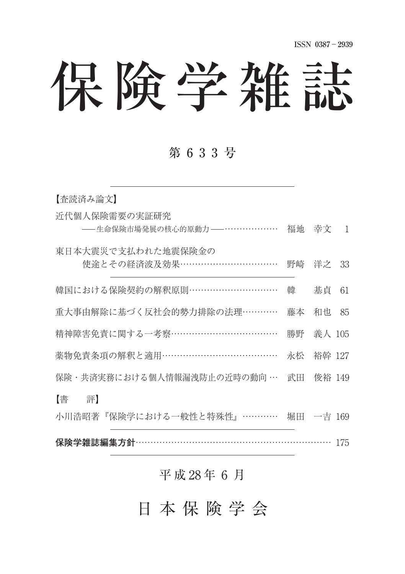# 保険学雑誌

### 第633号

| 【査読済み論文】                                      |    |           |     |
|-----------------------------------------------|----|-----------|-----|
| 近代個人保険需要の実証研究<br>-- 生命保険市場発展の核心的原動力 -- ……………… | 福地 | 幸文        | 1   |
| 東日本大震災で支払われた地震保険金の<br>使途とその経済波及効果……………………………  | 野崎 | 洋之        | 33  |
| 韓国における保険契約の解釈原則…………………………                     | 韓  | 基貞        | 61  |
| 重大事由解除に基づく反社会的勢力排除の法理…………                     | 藤本 | 和也        | 85  |
| 精神障害免責に関する一考察………………………………                     | 勝野 | 義人 105    |     |
| 薬物免責条項の解釈と適用………………………………                      | 永松 | 裕幹 127    |     |
| 保険・共済実務における個人情報漏洩防止の近時の動向 …                   | 武田 | 俊裕 149    |     |
| 【書】<br>評】<br>小川浩昭著『保険学における一般性と特殊性』…………        |    | 堀田 一吉 169 |     |
| 保険学雑誌編集方針·                                    |    |           | 175 |

#### 平 成 28 年 6 月

日本保険学会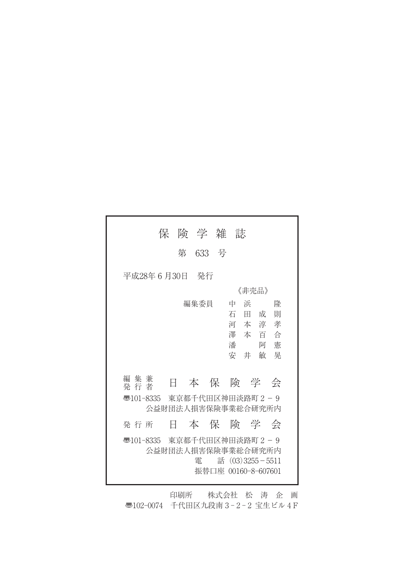| 険学雑誌<br>保                                                                                                      |
|----------------------------------------------------------------------------------------------------------------|
| 633 号<br>第                                                                                                     |
| 平成28年 6 月30日<br>一発行                                                                                            |
| 《非壳品》<br>編集委員<br>隆<br>中<br>浜<br>石<br>成<br>則<br>Ħ<br>河本淳<br>孝<br>澤 本 百<br>一合<br>潘<br>憲<br>阿<br>安<br>晃<br>井<br>敏 |
| 編集兼<br>本保険学<br>Η<br>一会<br>発 行 者                                                                                |
| 東京都千代田区神田淡路町2-9<br>ক্ত101-8335<br>公益財団法人損害保険事業総合研究所内                                                           |
| 本保険学会<br>発 行 所<br>H                                                                                            |
| 50101-8335  東京都千代田区神田淡路町2−9<br>公益財団法人損害保険事業総合研究所内<br>話 $(03)$ 3255 - 5511<br>雷<br>振替口座 00160-8-607601          |

印刷所 株式会社 松 涛 企 画 〠102-0074 千代田区九段南3-2-2 宝生ビル 4 F